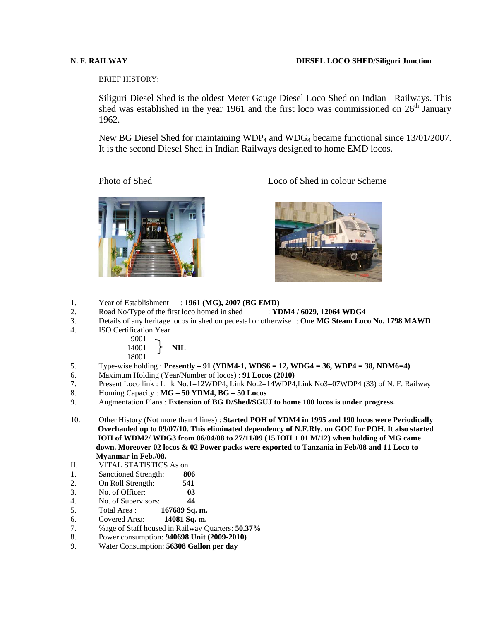# **N. F. RAILWAY DIESEL LOCO SHED/Siliguri Junction**

BRIEF HISTORY:

Siliguri Diesel Shed is the oldest Meter Gauge Diesel Loco Shed on Indian Railways. This shed was established in the year 1961 and the first loco was commissioned on  $26<sup>th</sup>$  January 1962.

New BG Diesel Shed for maintaining WDP4 and WDG4 became functional since 13/01/2007. It is the second Diesel Shed in Indian Railways designed to home EMD locos.



Photo of Shed Loco of Shed in colour Scheme



- 1. Year of Establishment : **1961 (MG), 2007 (BG EMD)**
- 2. Road No/Type of the first loco homed in shed : **YDM4 / 6029, 12064 WDG4**
- 3. Details of any heritage locos in shed on pedestal or otherwise : **One MG Steam Loco No. 1798 MAWD**
- 4. ISO Certification Year



- 5. Type-wise holding : **Presently 91 (YDM4-1, WDS6 = 12, WDG4 = 36, WDP4 = 38, NDM6=4)**
- 6. Maximum Holding (Year/Number of locos) : **91 Locos (2010)**
- 7. Present Loco link : Link No.1=12WDP4, Link No.2=14WDP4,Link No3=07WDP4 (33) of N. F. Railway
- 8. Homing Capacity : **MG 50 YDM4, BG 50 Locos**
- 9. Augmentation Plans : **Extension of BG D/Shed/SGUJ to home 100 locos is under progress.**
- 10. Other History (Not more than 4 lines) : **Started POH of YDM4 in 1995 and 190 locos were Periodically Overhauled up to 09/07/10. This eliminated dependency of N.F.Rly. on GOC for POH. It also started IOH of WDM2/ WDG3 from 06/04/08 to 27/11/09 (15 IOH + 01 M/12) when holding of MG came down. Moreover 02 locos & 02 Power packs were exported to Tanzania in Feb/08 and 11 Loco to Myanmar in Feb./08.**
- II. VITAL STATISTICS As on
- 1. Sanctioned Strength: **806**
- 2. On Roll Strength: **541**
- 3. No. of Officer: **03**
- 4. No. of Supervisors: **44**
- 5. Total Area : **167689 Sq. m.**
- 6. Covered Area: **14081 Sq. m.**
- 7. %age of Staff housed in Railway Quarters: **50.37%**
- 8. Power consumption: **940698 Unit (2009-2010)**
- 9. Water Consumption: **56308 Gallon per day**